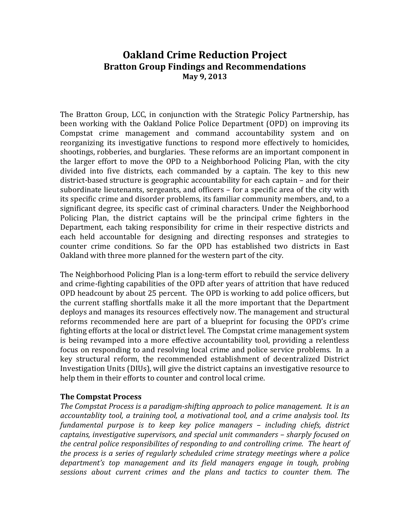# **Oakland Crime Reduction Project Bratton Group Findings and Recommendations May 9, 2013**

The Bratton Group, LCC, in conjunction with the Strategic Policy Partnership, has been working with the Oakland Police Police Department (OPD) on improving its Compstat crime management and command accountability system and on reorganizing its investigative functions to respond more effectively to homicides, shootings, robberies, and burglaries. These reforms are an important component in the larger effort to move the OPD to a Neighborhood Policing Plan, with the city divided into five districts, each commanded by a captain. The key to this new district-based structure is geographic accountability for each captain – and for their subordinate lieutenants, sergeants, and officers – for a specific area of the city with its specific crime and disorder problems, its familiar community members, and, to a significant degree, its specific cast of criminal characters. Under the Neighborhood Policing Plan, the district captains will be the principal crime fighters in the Department, each taking responsibility for crime in their respective districts and each held accountable for designing and directing responses and strategies to counter crime conditions. So far the OPD has established two districts in East Oakland with three more planned for the western part of the city.

The Neighborhood Policing Plan is a long‐term effort to rebuild the service delivery and crime‐fighting capabilities of the OPD after years of attrition that have reduced OPD headcount by about 25 percent. The OPD is working to add police officers, but the current staffing shortfalls make it all the more important that the Department deploys and manages its resources effectively now. The management and structural reforms recommended here are part of a blueprint for focusing the OPD's crime fighting efforts at the local or district level. The Compstat crime management system is being revamped into a more effective accountability tool, providing a relentless focus on responding to and resolving local crime and police service problems. In a key structural reform, the recommended establishment of decentralized District Investigation Units (DIUs), will give the district captains an investigative resource to help them in their efforts to counter and control local crime.

#### **The Compstat Process**

*The Compstat Process is a paradigm-shifting approach to police management. It is an accountablity tool, a training tool, a motivational tool, and a crime analysis tool. Its fundamental purpose is to keep key police managers – including chiefs, district captains, investigative supervisors, and special unit commanders – sharply focused on the central police responsibilites of responding to and controlling crime. The heart of the process is a series of regularly scheduled crime strategy meetings where a police department's top management and its field managers engage in tough, probing sessions about current crimes and the plans and tactics to counter them. The*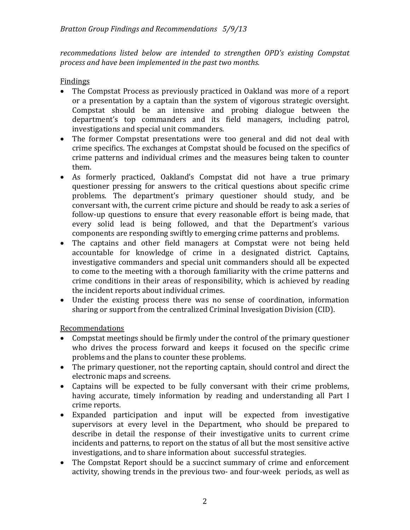*recommedations listed below are intended to strengthen OPD's existing Compstat process and have been implemented in the past two months.* 

#### Findings

- The Compstat Process as previously practiced in Oakland was more of a report or a presentation by a captain than the system of vigorous strategic oversight. Compstat should be an intensive and probing dialogue between the department's top commanders and its field managers, including patrol, investigations and special unit commanders.
- The former Compstat presentations were too general and did not deal with crime specifics. The exchanges at Compstat should be focused on the specifics of crime patterns and individual crimes and the measures being taken to counter them.
- As formerly practiced, Oakland's Compstat did not have a true primary questioner pressing for answers to the critical questions about specific crime problems. The department's primary questioner should study, and be conversant with, the current crime picture and should be ready to ask a series of follow‐up questions to ensure that every reasonable effort is being made, that every solid lead is being followed, and that the Department's various components are responding swiftly to emerging crime patterns and problems.
- The captains and other field managers at Compstat were not being held accountable for knowledge of crime in a designated district. Captains, investigative commanders and special unit commanders should all be expected to come to the meeting with a thorough familiarity with the crime patterns and crime conditions in their areas of responsibility, which is achieved by reading the incident reports about individual crimes.
- Under the existing process there was no sense of coordination, information sharing or support from the centralized Criminal Invesigation Division (CID).

#### Recommendations

- Compstat meetings should be firmly under the control of the primary questioner who drives the process forward and keeps it focused on the specific crime problems and the plans to counter these problems.
- The primary questioner, not the reporting captain, should control and direct the electronic maps and screens.
- Captains will be expected to be fully conversant with their crime problems, having accurate, timely information by reading and understanding all Part I crime reports.
- Expanded participation and input will be expected from investigative supervisors at every level in the Department, who should be prepared to describe in detail the response of their investigative units to current crime incidents and patterns, to report on the status of all but the most sensitive active investigations, and to share information about successful strategies.
- The Compstat Report should be a succinct summary of crime and enforcement activity, showing trends in the previous two‐ and four‐week periods, as well as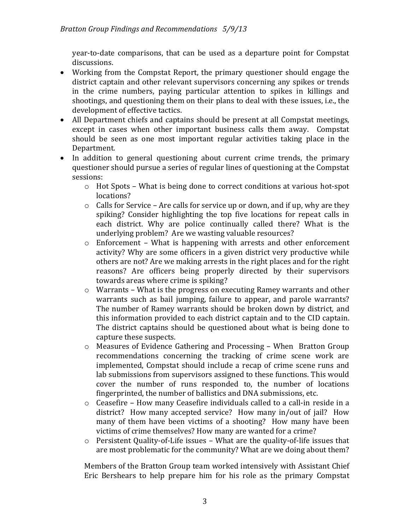year‐to‐date comparisons, that can be used as a departure point for Compstat discussions.

- Working from the Compstat Report, the primary questioner should engage the district captain and other relevant supervisors concerning any spikes or trends in the crime numbers, paying particular attention to spikes in killings and shootings, and questioning them on their plans to deal with these issues, i.e., the development of effective tactics.
- All Department chiefs and captains should be present at all Compstat meetings, except in cases when other important business calls them away. Compstat should be seen as one most important regular activities taking place in the Department.
- In addition to general questioning about current crime trends, the primary questioner should pursue a series of regular lines of questioning at the Compstat sessions:
	- o Hot Spots What is being done to correct conditions at various hot‐spot locations?
	- $\circ$  Calls for Service Are calls for service up or down, and if up, why are they spiking? Consider highlighting the top five locations for repeat calls in each district. Why are police continually called there? What is the underlying problem? Are we wasting valuable resources?
	- o Enforcement What is happening with arrests and other enforcement activity? Why are some officers in a given district very productive while others are not? Are we making arrests in the right places and for the right reasons? Are officers being properly directed by their supervisors towards areas where crime is spiking?
	- o Warrants What is the progress on executing Ramey warrants and other warrants such as bail jumping, failure to appear, and parole warrants? The number of Ramey warrants should be broken down by district, and this information provided to each district captain and to the CID captain. The district captains should be questioned about what is being done to capture these suspects.
	- o Measures of Evidence Gathering and Processing When Bratton Group recommendations concerning the tracking of crime scene work are implemented, Compstat should include a recap of crime scene runs and lab submissions from supervisors assigned to these functions. This would cover the number of runs responded to, the number of locations fingerprinted, the number of ballistics and DNA submissions, etc.
	- o Ceasefire How many Ceasefire individuals called to a call‐in reside in a district? How many accepted service? How many in/out of jail? How many of them have been victims of a shooting? How many have been victims of crime themselves? How many are wanted for a crime?
	- o Persistent Quality‐of‐Life issues What are the quality‐of‐life issues that are most problematic for the community? What are we doing about them?

Members of the Bratton Group team worked intensively with Assistant Chief Eric Bershears to help prepare him for his role as the primary Compstat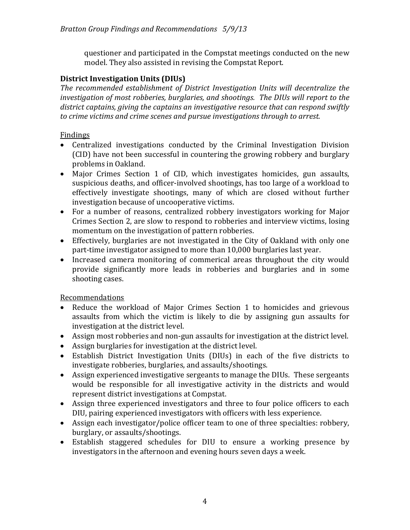questioner and participated in the Compstat meetings conducted on the new model. They also assisted in revising the Compstat Report.

#### **District Investigation Units (DIUs)**

*The recommended establishment of District Investigation Units will decentralize the investigation of most robberies, burglaries, and shootings. The DIUs will report to the district captains, giving the captains an investigative resource that can respond swiftly to crime victims and crime scenes and pursue investigations through to arrest.* 

#### Findings

- Centralized investigations conducted by the Criminal Investigation Division (CID) have not been successful in countering the growing robbery and burglary problems in Oakland.
- Major Crimes Section 1 of CID, which investigates homicides, gun assaults, suspicious deaths, and officer‐involved shootings, has too large of a workload to effectively investigate shootings, many of which are closed without further investigation because of uncooperative victims.
- For a number of reasons, centralized robbery investigators working for Major Crimes Section 2, are slow to respond to robberies and interview victims, losing momentum on the investigation of pattern robberies.
- Effectively, burglaries are not investigated in the City of Oakland with only one part-time investigator assigned to more than 10,000 burglaries last year.
- Increased camera monitoring of commerical areas throughout the city would provide significantly more leads in robberies and burglaries and in some shooting cases.

Recommendations

- Reduce the workload of Major Crimes Section 1 to homicides and grievous assaults from which the victim is likely to die by assigning gun assaults for investigation at the district level.
- Assign most robberies and non-gun assaults for investigation at the district level.
- Assign burglaries for investigation at the district level.
- Establish District Investigation Units (DIUs) in each of the five districts to investigate robberies, burglaries, and assaults/shootings.
- Assign experienced investigative sergeants to manage the DIUs. These sergeants would be responsible for all investigative activity in the districts and would represent district investigations at Compstat.
- Assign three experienced investigators and three to four police officers to each DIU, pairing experienced investigators with officers with less experience.
- Assign each investigator/police officer team to one of three specialties: robbery, burglary, or assaults/shootings.
- Establish staggered schedules for DIU to ensure a working presence by investigators in the afternoon and evening hours seven days a week.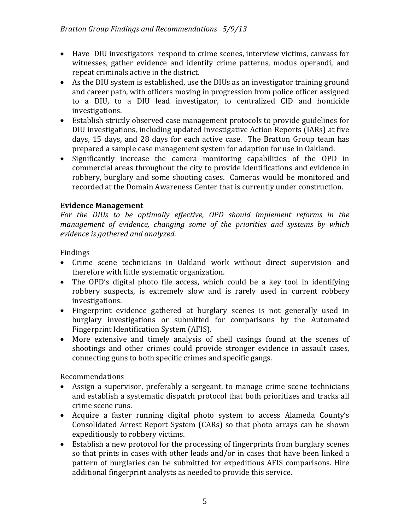- Have DIU investigators respond to crime scenes, interview victims, canvass for witnesses, gather evidence and identify crime patterns, modus operandi, and repeat criminals active in the district.
- As the DIU system is established, use the DIUs as an investigator training ground and career path, with officers moving in progression from police officer assigned to a DIU, to a DIU lead investigator, to centralized CID and homicide investigations.
- Establish strictly observed case management protocols to provide guidelines for DIU investigations, including updated Investigative Action Reports (IARs) at five days, 15 days, and 28 days for each active case. The Bratton Group team has prepared a sample case management system for adaption for use in Oakland.
- Significantly increase the camera monitoring capabilities of the OPD in commercial areas throughout the city to provide identifications and evidence in robbery, burglary and some shooting cases. Cameras would be monitored and recorded at the Domain Awareness Center that is currently under construction.

## **Evidence Management**

*For the DIUs to be optimally effective, OPD should implement reforms in the management of evidence, changing some of the priorities and systems by which evidence is gathered and analyzed.* 

#### Findings

- Crime scene technicians in Oakland work without direct supervision and therefore with little systematic organization.
- The OPD's digital photo file access, which could be a key tool in identifying robbery suspects, is extremely slow and is rarely used in current robbery investigations.
- Fingerprint evidence gathered at burglary scenes is not generally used in burglary investigations or submitted for comparisons by the Automated Fingerprint Identification System (AFIS).
- More extensive and timely analysis of shell casings found at the scenes of shootings and other crimes could provide stronger evidence in assault cases, connecting guns to both specific crimes and specific gangs.

## Recommendations

- Assign a supervisor, preferably a sergeant, to manage crime scene technicians and establish a systematic dispatch protocol that both prioritizes and tracks all crime scene runs.
- Acquire a faster running digital photo system to access Alameda County's Consolidated Arrest Report System (CARs) so that photo arrays can be shown expeditiously to robbery victims.
- Establish a new protocol for the processing of fingerprints from burglary scenes so that prints in cases with other leads and/or in cases that have been linked a pattern of burglaries can be submitted for expeditious AFIS comparisons. Hire additional fingerprint analysts as needed to provide this service.